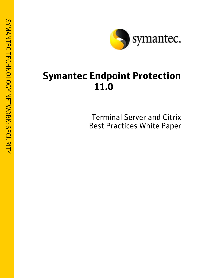

# **Symantec Endpoint Protection 11.0**

Terminal Server and Citrix Best Practices White Paper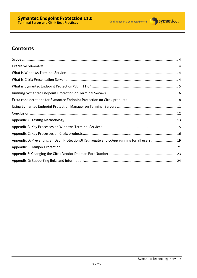

# **Contents**

| Appendix D: Preventing SmcGui, ProtectionUtilSurrogate and ccApp running for all users 19 |  |
|-------------------------------------------------------------------------------------------|--|
|                                                                                           |  |
|                                                                                           |  |
|                                                                                           |  |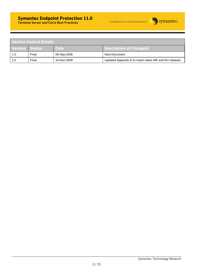

| Version Control Details |       |             |                                                       |  |  |  |
|-------------------------|-------|-------------|-------------------------------------------------------|--|--|--|
| Version Status          |       | <b>Date</b> | Description of Change(s)                              |  |  |  |
| 1.0                     | Final | 08-Sep-2008 | New Document                                          |  |  |  |
| 2.0                     | Final | 15-Nov-2009 | Updated Appendix D to match latest MR and RU releases |  |  |  |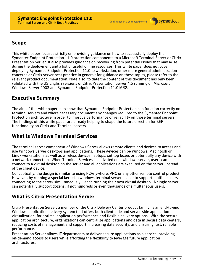

# **Scope**

This white paper focuses strictly on providing guidance on how to successfully deploy the Symantec Endpoint Protection 11.0 protection components to a Microsoft Terminal Server or Citrix Presentation Server. It also provides guidance on recovering from potential issues that may arise during the deployment and a list of useful online resources. This white paper does not cover deploying Symantec Endpoint Protection 11.0 to workstation, other more general administration concerns or Citrix server best practice in general; for guidance on these topics, please refer to the relevant product documentation. Note also, to date the content of this document has only been validated with the US English versions of Citrix Presentation Server 4.5 running on Microsoft Windows Server 2003 and Symantec Endpoint Protection 11.0 MR2.

# **Executive Summary**

The aim of this whitepaper is to show that Symantec Endpoint Protection can function correctly on terminal servers and where necessary document any changes required to the Symantec Endpoint Protection architecture in order to improve performance or reliability on those terminal servers. The findings of this white paper are already helping to shape the future direction for SEP functionality on Citrix and Terminal servers.

## **What is Windows Terminal Services**

The terminal server component of Windows Server allows remote clients and devices to access and use Windows Server desktops and applications. These devices can be Windows, Macintosh or Linux workstations as well as wireless devices, laptops, set top boxes or potentially any device with a network connection. When Terminal Services is activated on a windows server, users can connect to a virtual desktop on the server and all applications are executed on the server, instead of the client device.

Conceptually, the design is similar to using PCAnywhere, VNC or any other remote control product. However, by running a special kernel, a windows terminal server is able to support multiple users connecting to the server simultaneously – each running their own virtual desktop. A single server can potentially support dozens, if not hundreds or even thousands of simultaneous users.

# **What is Citrix Presentation Server**

Citrix Presentation Server, a member of the Citrix Delivery Center product family, is an end-to-end Windows application delivery system that offers both client-side and server-side application virtualization, for optimal application performance and flexible delivery options. With the secure application architecture, organizations can centralize applications and data in secure data centers, reducing costs of management and support, increasing data security, and ensuring fast, reliable performance.

Presentation Server allows IT departments to deliver secure applications as a service, providing on-demand access to users while affording the flexibility to leverage future application architectures.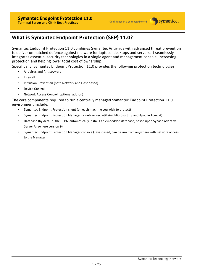

## **What is Symantec Endpoint Protection (SEP) 11.0?**

Symantec Endpoint Protection 11.0 combines Symantec Antivirus with advanced threat prevention to deliver unmatched defence against malware for laptops, desktops and servers. It seamlessly integrates essential security technologies in a single agent and management console, increasing protection and helping lower total cost of ownership.

Specifically, Symantec Endpoint Protection 11.0 provides the following protection technologies:

- Antivirus and Antispyware
- **Firewall**
- Intrusion Prevention (both Network and Host based)
- Device Control
- Network Access Control (optional add-on)

The core components required to run a centrally managed Symantec Endpoint Protection 11.0 environment include:

- Symantec Endpoint Protection client (on each machine you wish to protect)
- Symantec Endpoint Protection Manager (a web server, utilising Microsoft IIS and Apache Tomcat)
- Database (by default, the SEPM automatically installs an embedded database, based upon Sybase Adaptive Server Anywhere version 9)
- Symantec Endpoint Protection Manager console (Java-based, can be run from anywhere with network access to the Manager)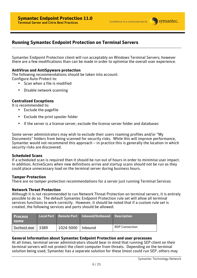#### **Running Symantec Endpoint Protection on Terminal Servers**

Symantec Endpoint Protection client will run acceptably on Windows Terminal Servers; however there are a few modifications than can be made in order to optimise the overall user experience.

#### **AntiVirus and AntiSpyware protection**

The following recommendations should be taken into account: Configure Auto-Protect to:

- Scan when a file is modified
- Disable network scanning

#### **Centralized Exceptions**

It is recommended to:

- Exclude the pagefile
- Exclude the print spooler folder
- If the server is a license server, exclude the license server folder and databases

Some server administrators may wish to exclude their users roaming profiles and/or "My Documents" folders from being scanned for security risks. While this will improve performance, Symantec would not recommend this approach – in practice this is generally the location in which security risks are discovered.

#### **Scheduled Scans**

If a scheduled scan is required then it should be run out of hours in order to minimise user impact. In addition, ActiveScans when new definitions arrive and startup scans should not be run as they could place unnecessary load on the terminal server during business hours.

#### **Tamper Protection**

There are no tamper protection recommendations for a server just running Terminal Services

#### **Network Threat Protection**

Although it is not recommended to run Network Threat Protection on terminal servers, it is entirely possible to do so. The default Symantec Endpoint Protection rule set will allow all terminal services functions to work correctly. However, it should be noted that if a custom rule set is created, the following services and ports should be allowed:

| <b>Process</b><br>l name |        |                     | Local Port Remote Port   Inbound/Outbound   Description |                       |
|--------------------------|--------|---------------------|---------------------------------------------------------|-----------------------|
| Svchost.exe              | l 3389 | 1024-5000   Inbound |                                                         | <b>RDP Connection</b> |

#### **General Information about Symantec Endpoint Protection and user processes**

At all times, terminal server administrators should bear in mind that running SEP client on their terminal servers will not protect the client computer from threats. Depending on the terminal solution being used, Symantec has a separate solution for these (most could run SEP, others may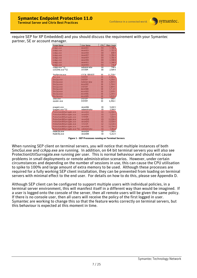require SEP for XP Embedded) and you should discuss the requirement with your Symantec partner, SE or account manager.



**Figure 1 - SEP Processes running on Terminal Servers** 

When running SEP client on terminal servers, you will notice that multiple instances of both SmcGui.exe and ccApp.exe are running. In addition, on 64 bit terminal servers you will also see ProtectionUtilSurrogate.exe running per user. This is normal behaviour and should not cause problems in small deployments or remote administration scenarios. However, under certain circumstances and depending on the number of sessions in use, this can cause the CPU utilisation to spike to 100% and large amount of extra memory to be used. Although these processes are required for a fully working SEP client installation, they can be prevented from loading on terminal servers with minimal effect to the end user. For details on how to do this, please see Appendix D.

Although SEP client can be configured to support multiple users with individual policies, in a terminal server environment, this will manifest itself in a different way than would be imagined. If a user is logged onto the console of the server, then all remote users will be given the same policy. If there is no console user, then all users will receive the policy of the first logged in user. Symantec are working to change this so that the feature works correctly on terminal servers, but this behaviour is expected at this moment in time.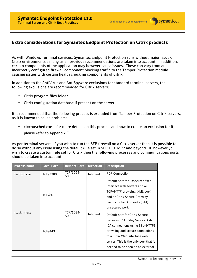### **Extra considerations for Symantec Endpoint Protection on Citrix products**

As with Windows Terminal services, Symantec Endpoint Protection runs without major issue on Citrix environments as long as all previous recommendations are taken into account. In addition, certain components of the application may however cause issues. These can vary from an incorrectly configured firewall component blocking traffic to the Tamper Protection module causing issues with certain health checking components of Citrix.

In addition to the AntiVirus and AntiSpyware exclusions for standard terminal servers, the following exclusions are recommended for Citrix servers:

- Citrix program files folder
- Citrix configuration database if present on the server

It is recommended that the following process is excluded from Tamper Protection on Citrix servers, as it is known to cause problems:

• ctxcpusched.exe – for more details on this process and how to create an exclusion for it, please refer to Appendix E.

As per terminal servers, if you wish to run the SEP firewall on a Citrix server then it is possible to do so without any issue using the default rule set in SEP 11.0 MR2 and beyond. If, however you wish to create a custom rule set for Citrix then the following processes and communications ports should be taken into account:

| <b>Process name</b> | <b>Local Port</b> | <b>Remote Port</b> | <b>Direction</b> | <b>Description</b>                                                                                                                                                                                                                                       |
|---------------------|-------------------|--------------------|------------------|----------------------------------------------------------------------------------------------------------------------------------------------------------------------------------------------------------------------------------------------------------|
| Sychost.exe         | TCP/3389          | TCP/1024-<br>5000  | Inbound          | <b>RDP Connection</b>                                                                                                                                                                                                                                    |
| ntoskrnl.exe        | <b>TCP/80</b>     |                    |                  | Default port for unsecured Web<br>Interface web servers and or<br>TCP+HTTP browsing (XML port)<br>and or Citrix Secure Gateway<br>Secure Ticket Authority (STA)<br>unsecured port.                                                                       |
|                     | <b>TCP/443</b>    | TCP/1024-<br>5000  | Inbound          | Default port for Citrix Secure<br>Gateway, SSL Relay Service, Citrix<br>ICA connections using SSL+HTTPS<br>browsing and secure connections<br>to a Citrix Web Interface web<br>server) This is the only port that is<br>needed to be open on an external |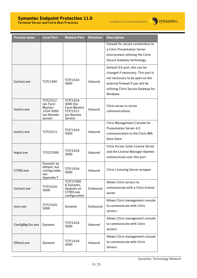### **Symantec Endpoint Protection 11.0**

Confidence in a connected world.



Terminal Server and Citrix Best Practices

| <b>Process name</b> | <b>Local Port</b>                                                            | <b>Remote Port</b>                                                          | <b>Direction</b> | <b>Description</b>                                                                                                                                                                            |
|---------------------|------------------------------------------------------------------------------|-----------------------------------------------------------------------------|------------------|-----------------------------------------------------------------------------------------------------------------------------------------------------------------------------------------------|
|                     |                                                                              |                                                                             |                  | firewall for secure connections to<br>a Citrix Presentation Server<br>environment utilizing the Citrix<br>Secure Gateway technology.                                                          |
| Sychost.exe         | TCP/1494                                                                     | TCP/1024-<br>5000                                                           | Inbound          | Default ICA port, this can be<br>changed if necessary. This port is<br>not necessary to be open on the<br>external firewall if you will be<br>utilizing Citrix Secure Gateway for<br>Windows. |
| ImaSrv.exe          | <b>TCP/2512</b><br>(on Farm<br>Master)<br>1024-5000<br>(on Remote<br>server) | TCP/1024-<br>5000 (for<br>Farm Master)<br>TCP/2512<br>(on Remote<br>Server) | Inbound          | Citrix server to server<br>communications                                                                                                                                                     |
| ImaSrv.exe          | TCP/2513                                                                     | TCP/1024-<br>5000                                                           | Inbound          | <b>Citrix Management Console for</b><br><b>Presentation Server 4.0</b><br>communication to the Citrix IMA<br>Data Store                                                                       |
| Imgrd.exe           | TCP/27000                                                                    | TCP/1024-<br>5000                                                           | Inbound          | Citrix Access Suite License Server<br>and the License Manager daemon<br>communicate over this port                                                                                            |
| CITRIX.exe          | Dynamic by<br>default, but<br>configurable,<br>see<br>Appendix F             | TCP/1024-<br>5000                                                           | Inbound          | <b>Citrix Licensing Server wrapper</b>                                                                                                                                                        |
| Svchost.exe         | TCP/1024-<br>5000                                                            | TCP/27000<br>& Dynamic,<br>depends on<br>CITRIX.exe<br>configuration        | Outbound         | Allows Citrix servers to<br>communicate with a Citrix license<br>server                                                                                                                       |
| mmc.exe             | TCP/1024-<br>5000                                                            | Dynamic                                                                     | Outbound         | Allows Citrix management console<br>to communicate with Citrix<br>servers                                                                                                                     |
| ConfigMgrSvr.exe    | Dynamic                                                                      | TCP/1024-<br>5000                                                           | Inbound          | Allows Citrix management console<br>to communicate with Citrix                                                                                                                                |

Dllhost.exe Dynamic  $\begin{array}{|c|c|c|c|c|c|}\n\hline\n\text{Dynamic} & \text{5000} \\
\hline\n\end{array}$ Inbound

servers

servers

Allows Citrix management console

to communicate with Citrix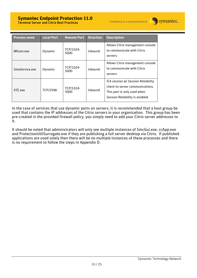### **Symantec Endpoint Protection 11.0**

Confidence in a connected world.



Terminal Server and Citrix Best Practices

| <b>Process name</b> | <b>Local Port</b> | <b>Remote Port</b> | <b>Direction</b> | <b>Description</b>                                                                                                                       |
|---------------------|-------------------|--------------------|------------------|------------------------------------------------------------------------------------------------------------------------------------------|
| Mfcom.exe           | Dynamic           | TCP/1024-<br>5000  | Inbound          | Allows Citrix management console<br>to communicate with Citrix<br>servers                                                                |
| SmaService.exe      | Dynamic           | TCP/1024-<br>5000  | Inbound          | Allows Citrix management console<br>to communicate with Citrix<br>servers                                                                |
| XTF exe             | <b>TCP/2598</b>   | TCP/1024-<br>5000  | Inbound          | ICA session w/ Session Reliability<br>client-to-server communications.<br>This port is only used when<br>Session Reliability is enabled. |

In the case of services that use dynamic ports on servers, it is recommended that a host group be used that contains the IP addresses of the Citrix servers in your organisation. This group has been pre-created in the provided firewall policy, you simply need to add your Citrix server addresses to it.

It should be noted that administrators will only see multiple instances of SmcGui.exe, ccApp.exe and ProtectionUtilSurrogate.exe if they are publishing a full server desktop via Citrix. If published applications are used solely then there will be no multiple instances of these processes and there is no requirement to follow the steps in Appendix D.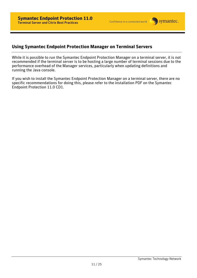### **Using Symantec Endpoint Protection Manager on Terminal Servers**

While it is possible to run the Symantec Endpoint Protection Manager on a terminal server, it is not recommended if the terminal server is to be hosting a large number of terminal sessions due to the performance overhead of the Manager services, particularly when updating definitions and running the Java console.

If you wish to install the Symantec Endpoint Protection Manager on a terminal server, there are no specific recommendations for doing this, please refer to the installation PDF on the Symantec Endpoint Protection 11.0 CD1.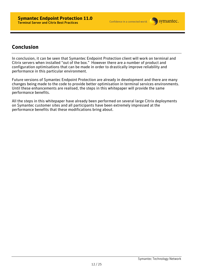

## **Conclusion**

In conclusion, it can be seen that Symantec Endpoint Protection client will work on terminal and Citrix servers when installed "out of the box." However there are a number of product and configuration optimisations that can be made in order to drastically improve reliability and performance in this particular environment.

Future versions of Symantec Endpoint Protection are already in development and there are many changes being made to the code to provide better optimisation in terminal services environments. Until these enhancements are realised, the steps in this whitepaper will provide the same performance benefits.

All the steps in this whitepaper have already been performed on several large Citrix deployments on Symantec customer sites and all participants have been extremely impressed at the performance benefits that these modifications bring about.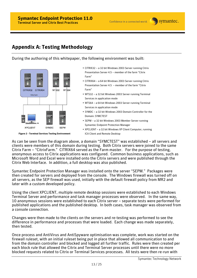# **Appendix A: Testing Methodology**

During the authoring of this whitepaper, the following environment was built:



**Figure 2 - Terminal Services Testing Environment** 

- CITRIX32 a 32 bit Windows 2003 Server running Citrix Presentation Server 4.5 – member of the farm "Citrix Farm"
- CITRIX64 a 64 bit Windows 2003 Server running Citrix Presentation Server 4.5 – member of the farm "Citrix Farm"
- WTS32 a 32 bit Windows 2003 Server running Terminal Services in application mode
- WTS64 a 64 bit Windows 2003 Server running Terminal Services in application mode
- SYMDC a 32 bit Windows 2003 Domain Controller for the Domain: SYMCTEST
- SEPM a 32 bit Windows 2003 Member Server running Symantec Endpoint Protection Manager
- XPCLIENT a 32 bit Windows XP Client Computer, running ICA Client and Remote Desktop

As can be seen from the diagram above, a domain "SYMCTEST" was established – all servers and clients were members of this domain during testing. Both Citrix servers were joined to the same Citrix Farm – "CitrixFarm." CITRIX64 served as the Farm master. For the purpose of testing, anonymous access to Citrix applications was configured. Common business applications, such as Microsoft Word and Excel were installed onto the Citrix servers and were published through the Citrix Web Interface. In addition, a full desktop was also published.

Symantec Endpoint Protection Manager was installed onto the server "SEPM." Packages were then created for servers and deployed from the console. The Windows firewall was turned off on all servers, as the SEP firewall was used, initially with the default firewall policy from MR2 and later with a custom developed policy.

Using the client XPCLIENT, multiple remote desktop sessions were established to each Windows Terminal Server and performance and task manager processes were observed. In the same way, 10 anonymous sessions were established to each Citrix server – separate tests were performed for published applications and the published desktop. In both cases, task manager was observed from a console connection.

Changes were then made to the clients on the servers and re-testing was performed to see the difference in performance and processes that were loaded. Each change was made separately, then tested.

Once process and AntiVirus and AntiSpyware optimisation was complete, work was started on the firewall ruleset, with an initial ruleset being put in place that allowed all communication to and from the domain controller and blocked and logged all further traffic. Rules were then created per each block rule that allowed the Citrix and Terminal Server processes until there were no more blocked requests related to Citrix or Terminal Services processes. All tests were then re-run with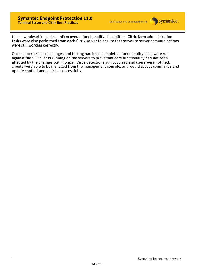this new ruleset in use to confirm overall functionality. In addition, Citrix farm administration tasks were also performed from each Citrix server to ensure that server to server communications were still working correctly.

Once all performance changes and testing had been completed, functionality tests were run against the SEP clients running on the servers to prove that core functionality had not been affected by the changes put in place. Virus detections still occurred and users were notified, clients were able to be managed from the management console, and would accept commands and update content and policies successfully.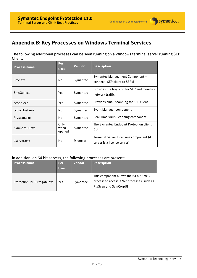# **Appendix B: Key Processes on Windows Terminal Services**

The following additional processes can be seen running on a Windows terminal server running SEP Client:

| <b>Process name</b> | Per<br><b>User</b>     | <b>Vendor</b>    | <b>Description</b>                                                     |
|---------------------|------------------------|------------------|------------------------------------------------------------------------|
| Smc.exe             | No.                    | Symantec         | Symantec Management Component -<br>connects SEP client to SEPM         |
| SmcGui.exe          | Yes.                   | Symantec         | Provides the tray icon for SEP and monitors<br>network traffic         |
| ccApp.exe           | <b>Yes</b>             | Symantec         | Provides email scanning for SEP client                                 |
| ccSvcHost.exe       | No.                    | Symantec         | Event Manager component                                                |
| Rtyscan.exe         | No.                    | Symantec         | Real Time Virus Scanning component                                     |
| SymCorpUI.exe       | Only<br>when<br>opened | Symantec         | The Symantec Endpoint Protection client<br>GUI                         |
| Lserver.exe         | No                     | <b>Microsoft</b> | Terminal Server Licensing component (if<br>server is a license server) |

#### In addition, on 64 bit servers, the following processes are present:

| <b>Process name</b>         | <b>Per</b><br>User. | <b>Vendor</b> | <b>Description</b>                                                                                                    |
|-----------------------------|---------------------|---------------|-----------------------------------------------------------------------------------------------------------------------|
| ProtectionUtilSurrogate.exe | Yes                 | Symantec      | This component allows the 64 bit SmcGui<br>process to access 32bit processes, such as<br><b>RtyScan and SymCorpUI</b> |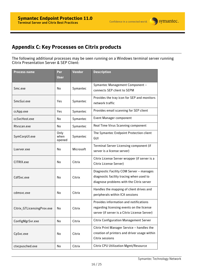# **Appendix C: Key Processes on Citrix products**

The following additional processes may be seen running on a Windows terminal server running Citrix Presentation Server & SEP Client:

| <b>Process name</b>        | Per<br><b>User</b>     | Vendor    | <b>Description</b>                                                                                                                   |
|----------------------------|------------------------|-----------|--------------------------------------------------------------------------------------------------------------------------------------|
| Smc.exe                    | <b>No</b>              | Symantec  | Symantec Management Component -<br>connects SEP client to SEPM                                                                       |
| SmcGui.exe                 | Yes                    | Symantec  | Provides the tray icon for SEP and monitors<br>network traffic                                                                       |
| ccApp.exe                  | Yes                    | Symantec  | Provides email scanning for SEP client                                                                                               |
| ccSvcHost.exe              | No                     | Symantec  | <b>Event Manager component</b>                                                                                                       |
| Rtvscan.exe                | No                     | Symantec  | Real Time Virus Scanning component                                                                                                   |
| SymCorpUI.exe              | Only<br>when<br>opened | Symantec  | The Symantec Endpoint Protection client<br>GUI                                                                                       |
| Lserver.exe                | No                     | Microsoft | Terminal Server Licensing component (if<br>server is a license server)                                                               |
| CITRIX.exe                 | <b>No</b>              | Citrix    | Citrix License Server wrapper (if server is a<br><b>Citrix License Server)</b>                                                       |
| CdfSvc.exe                 | No                     | Citrix    | Diagnostic Facility COM Server - manages<br>diagnostic facility tracing when used to<br>diagnose problems with the Citrix server     |
| cdmsvc.exe                 | No                     | Citrix    | Handles the mapping of client drives and<br>peripherals within ICA sessions                                                          |
| Citrix_GTLicensingProv.exe | No                     | Citrix    | Provides information and notifications<br>regarding licensing events on the license<br>server (if server is a Citrix License Server) |
| ConfigMgrSvr.exe           | No                     | Citrix    | <b>Citrix Configuration Management Server</b>                                                                                        |
| CpSvc.exe                  | No                     | Citrix    | Citrix Print Manager Service - handles the<br>creation of printers and driver usage within<br>Citrix sessions                        |
| ctxcpusched.exe            | No                     | Citrix    | <b>Citrix CPU Utilization Mgmt/Resource</b>                                                                                          |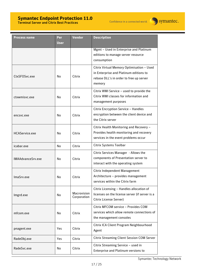#### **Symantec Endpoint Protection 11.0**  Terminal Server and Citrix Best Practices



| <b>Process name</b> | Per<br>User | <b>Vendor</b>              | <b>Description</b>                                                                                                                       |
|---------------------|-------------|----------------------------|------------------------------------------------------------------------------------------------------------------------------------------|
|                     |             |                            | Mgmt - Used in Enterprise and Platinum<br>editions to manage server resource<br>consumption                                              |
| CtxSFOSvc.exe       | No          | Citrix                     | Citrix Virtual Memory Optimisation - Used<br>in Enterprise and Platinum editions to<br>rebase DLL's in order to free up server<br>memory |
| ctxwmisvc.exe       | No          | Citrix                     | Citrix WMI Service - used to provide the<br>Citrix WMI classes for information and<br>management purposes                                |
| encsyc.exe          | No          | Citrix                     | Citrix Encryption Service - Handles<br>encryption between the client device and<br>the Citrix server                                     |
| HCAService.exe      | No          | Citrix                     | Citrix Health Monitoring and Recovery -<br>Provides health monitoring and recovery<br>services in the event problems occur               |
| icabar.exe          | No          | Citrix                     | Citrix Systems Toolbar                                                                                                                   |
| IMAAdvanceSrv.exe   | No          | Citrix                     | Citrix Services Manager - Allows the<br>components of Presentation server to<br>interact with the operating system                       |
| ImaSrv.exe          | No          | Citrix                     | Citrix Independent Management<br>Architecture - provides management<br>services within the Citrix farm                                   |
| Imgrd.exe           | No.         | Macrovision<br>Corporation | Citrix Licensing - Handles allocation of<br>licenses on the license server (if server is a<br>Citrix License Server)                     |
| mfcom.exe           | No          | Citrix                     | Citrix MFCOM service - Provides COM<br>services which allow remote connections of<br>the management consoles                             |
| pnagent.exe         | Yes         | Citrix                     | Citrix ICA Client Program Neighbourhood<br>Agent                                                                                         |
| RadeObj.exe         | Yes         | Citrix                     | <b>Citrix Streaming Client Session COM Server</b>                                                                                        |
| RadeSvc.exe         | No          | Citrix                     | Citrix Streaming Service - used in<br>Enterprise and Platinum versions to                                                                |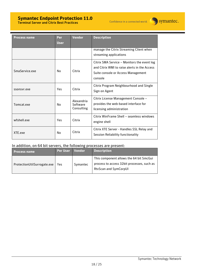#### **Symantec Endpoint Protection 11.0**  Terminal Server and Citrix Best Practices

Confidence in a connected world.



| Process name   | Per<br><b>User</b> | <b>Vendor</b>                        | <b>Description</b>                                                                                                                           |
|----------------|--------------------|--------------------------------------|----------------------------------------------------------------------------------------------------------------------------------------------|
|                |                    |                                      | manage the Citrix Streaming Client when<br>streaming applications                                                                            |
| SmaService.exe | N <sub>0</sub>     | Citrix                               | Citrix SMA Service - Monitors the event log<br>and Citrix WMI to raise alerts in the Access<br>Suite console or Access Management<br>console |
| ssonsyr.exe    | Yes                | Citrix                               | <b>Citrix Program Neighbourhood and Single</b><br>Sign on Agent                                                                              |
| Tomcat.exe     | No                 | Alexandria<br>Software<br>Consulting | Citrix License Management Console -<br>provides the web-based interface for<br>licensing administration                                      |
| wfshell.exe    | Yes                | Citrix                               | Citrix WinFrame Shell - seamless windows<br>engine shell                                                                                     |
| XTF exe        | No                 | Citrix                               | Citrix XTE Server - Handles SSL Relay and<br>Session Reliability functionality                                                               |

#### In addition, on 64 bit servers, the following processes are present:

| <b>Process name</b>         | <b>Per User</b> | <b>Vendor</b> | <b>Description</b>                                                                                                    |
|-----------------------------|-----------------|---------------|-----------------------------------------------------------------------------------------------------------------------|
| ProtectionUtilSurrogate.exe | Yes             | Symantec      | This component allows the 64 bit SmcGui<br>process to access 32bit processes, such as<br><b>RtvScan and SymCorpUI</b> |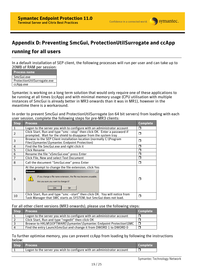

### **Appendix D: Preventing SmcGui, ProtectionUtilSurrogate and ccApp**

### **running for all users**

In a default installation of SEP client, the following processes will run per user and can take up to 20MB of RAM per session:

| <b>Process name</b>         |
|-----------------------------|
| SmcGui.exe                  |
| ProtectionUtilSurrogate.exe |
| ccApp.exe                   |
|                             |

Symantec is working on a long term solution that would only require one of these applications to be running at all times (ccApp) and with minimal memory usage (CPU utilisation with multiple instances of SmcGui is already better in MR3 onwards than it was in MR1), however in the meantime there is a workaround.

In order to prevent SmcGui and ProtectionUtilSurrogate (on 64 bit servers) from loading with each user session, complete the following steps for pre-MR3 clients:

| <b>Step</b>    | <b>Process</b>                                                                                                                                                                                             | <b>Complete</b> |  |  |  |
|----------------|------------------------------------------------------------------------------------------------------------------------------------------------------------------------------------------------------------|-----------------|--|--|--|
| $\mathbf{1}$   | Logon to the server you wish to configure with an administrator account                                                                                                                                    | П               |  |  |  |
| $\overline{2}$ | Click Start, Run and type "smc -stop" then click OK. Enter a password if<br>prompted. Wait for the shield to disappear from the system tray                                                                |                 |  |  |  |
| 3              | Browse to the SEP Client installation location (normally C:\Program<br>Files\Symantec\Symantec Endpoint Protection)                                                                                        | ⊓               |  |  |  |
| 4              | Find the file SmcGui.exe and right click it                                                                                                                                                                | Π               |  |  |  |
| 5              | Click Rename                                                                                                                                                                                               | П               |  |  |  |
| 6              | Rename the file "xSmcGui.exe" press Enter                                                                                                                                                                  | П               |  |  |  |
| 7              | Click File, New and select Text Document                                                                                                                                                                   | ⊓               |  |  |  |
| 8              | Call the document "SmcGui.exe" press Enter                                                                                                                                                                 | ⊓               |  |  |  |
| 9              | At the prompt to change the file extension, click Yes<br>$\times$<br>Rename<br>If you change a file name extension, the file may become unusable.<br>Ţ<br>Are you sure you want to change it?<br>No<br>Yes | П               |  |  |  |
| 10             | Click Start, Run and type "smc -start" then click OK. You will notice from<br>Task Manager that SMC starts as SYSTEM, but SmcGui does not load.                                                            | ⊓               |  |  |  |

#### For all other client versions (MR3 onwards), please use the following steps:

| Step | <b>Process</b>                                                          | <b>Complete</b> |
|------|-------------------------------------------------------------------------|-----------------|
|      | Logon to the server you wish to configure with an administrator account |                 |
|      | Click Start, Run and type "regedit" then click OK                       |                 |
|      | Browse to HKLM\SOFTWARE\Symantec\Symantec Endpoint Protection\SMC       |                 |
| 4    | Find the entry Launch SmcGui and change it from DWORD 1 to DWORD 0      |                 |

#### To further optimise memory, you can prevent ccApp from loading by following the instructions below:

| Step Process                                                            | <b>Complete</b> |
|-------------------------------------------------------------------------|-----------------|
| Logon to the server you wish to configure with an administrator account |                 |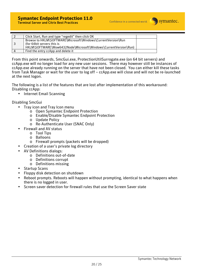

| Click Start, Run and type "regedit" then click OK                                                                                                             |  |
|---------------------------------------------------------------------------------------------------------------------------------------------------------------|--|
| Browse to HKLM\SOFTWARE\Microsoft\Windows\CurrentVersion\Run<br>(for 64bit servers this is<br>HKLM\SOFTWARE\Wow6432Node\Microsoft\Windows\CurrentVersion\Run) |  |
| Find the entry ccApp and delete it                                                                                                                            |  |

From this point onwards, SmcGui.exe, ProtectionUtilSurrogate.exe (on 64 bit servers) and ccApp.exe will no longer load for any new user sessions. There may however still be instances of ccApp.exe already running on the server that have not been closed. You can either kill these tasks from Task Manager or wait for the user to log off – ccApp.exe will close and will not be re-launched at the next logon.

The following is a list of the features that are lost after implementation of this workaround: Disabling ccApp:

• Internet Email Scanning

Disabling SmcGui

- Tray icon and Tray Icon menu
	- o Open Symantec Endpoint Protection
	- o Enable/Disable Symantec Endpoint Protection
	- o Update Policy
	- o Re-Authenticate User (SNAC Only)
- Firewall and AV status
	- o Tool Tips
	- o Balloons
	- o Firewall prompts (packets will be dropped)
- Creation of a user's private log directory
- AV Definitions dialogs:
	- o Definitions out-of-date
	- o Definitions corrupt
	- o Definitions missing
- Startup Scans
- Floppy disk detection on shutdown
- Reboot prompts. Reboots will happen without prompting, identical to what happens when there is no logged in user.
- Screen saver detection for firewall rules that use the Screen Saver state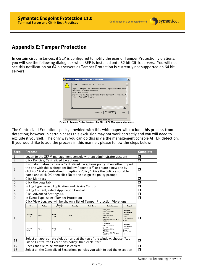### **Appendix E: Tamper Protection**

In certain circumstances, if SEP is configured to notify the user of Tamper Protection violations, you will see the following dialog box when SEP is installed onto 32 bit Citrix servers. You will not see this notification on 64 bit servers as Tamper Protection is currently not supported on 64 bit servers.



**Figure 3 - Tamper Protection Alert for Citrix CPU Management process** 

The Centralized Exceptions policy provided with this whitepaper will exclude this process from detection; however in certain cases this exclusion may not work correctly and you will need to exclude it yourself. The only way you can do this is via the management console AFTER detection. If you would like to add the process in this manner, please follow the steps below:

| <b>Step</b>    | <b>Process</b>                                                                                                                                                                                                                                                                                             |                    |                                           |                          |                  |                                                                                                                                                                                                                                                                                    | <b>Complete</b>                                                                                                               |   |
|----------------|------------------------------------------------------------------------------------------------------------------------------------------------------------------------------------------------------------------------------------------------------------------------------------------------------------|--------------------|-------------------------------------------|--------------------------|------------------|------------------------------------------------------------------------------------------------------------------------------------------------------------------------------------------------------------------------------------------------------------------------------------|-------------------------------------------------------------------------------------------------------------------------------|---|
| 1              | Logon to the SEPM management console with an administrator account                                                                                                                                                                                                                                         |                    |                                           |                          |                  | $\Box$                                                                                                                                                                                                                                                                             |                                                                                                                               |   |
| $\overline{2}$ | <b>Click Policies, Centralized Exceptions</b>                                                                                                                                                                                                                                                              |                    |                                           |                          |                  |                                                                                                                                                                                                                                                                                    | Π                                                                                                                             |   |
| 3              | If you don't already have a Centralized Exceptions policy, then either import<br>the one with this whitepaper (follow Appendix F) or create a new one by<br>clicking "Add a Centralized Exceptions Policy." Give the policy a suitable<br>name and click OK, then click No to the assign the policy prompt |                    |                                           |                          |                  | □                                                                                                                                                                                                                                                                                  |                                                                                                                               |   |
| 4              | <b>Click Monitors</b>                                                                                                                                                                                                                                                                                      |                    |                                           |                          |                  | Ω                                                                                                                                                                                                                                                                                  |                                                                                                                               |   |
| 5              |                                                                                                                                                                                                                                                                                                            | Click the Logs tab |                                           |                          |                  |                                                                                                                                                                                                                                                                                    |                                                                                                                               | П |
| 6              | In Log Type, select Application and Device Control                                                                                                                                                                                                                                                         |                    |                                           |                          |                  | П                                                                                                                                                                                                                                                                                  |                                                                                                                               |   |
| 7              | In Log Content, select Application Control                                                                                                                                                                                                                                                                 |                    |                                           |                          |                  | Π                                                                                                                                                                                                                                                                                  |                                                                                                                               |   |
| 8              | Click Advanced Settings >>                                                                                                                                                                                                                                                                                 |                    |                                           |                          |                  | Π                                                                                                                                                                                                                                                                                  |                                                                                                                               |   |
| 9              | In Event Type, select Tamper Protection                                                                                                                                                                                                                                                                    |                    |                                           |                          |                  | ⊓                                                                                                                                                                                                                                                                                  |                                                                                                                               |   |
| 10             | <b>Time</b><br>15/06/2008<br>22:25:51<br>15/06/2008                                                                                                                                                                                                                                                        | Action<br>Allow    | Domain<br>Computer<br>Default<br>citrix32 | <b>Severity</b><br>Major | <b>Rule Name</b> | Click View Log, you will be shown a list of Tamper Protection Violations<br><b>Caller Process</b><br>C:/Program<br>Files/Citrix/Server<br>Resource<br>Management/CPU<br>Litilization<br>Management/bin/ctxcpus<br>ched.exe<br>C:/Program<br><b>Files/Citrix/Server</b><br>Resource | Target<br>C:/Program<br>Files/Symantec/<br>Symantec<br>Endpoint<br>Protection/Sesc<br>LU.exe<br>C:/Program<br>Files/Symantec/ | ш |
| 11             | 22:21:44                                                                                                                                                                                                                                                                                                   | Allow              | Default<br>citrix32                       | Major                    |                  | Management/CPU<br>Utilization<br>Management/bin/ctxcpus<br>ched exe<br>Select an appropriate violation and at the top of the window, choose "Add                                                                                                                                   | Symantec<br>Endpoint<br>Protection/Smc.<br>exe.                                                                               | П |
| 12             | File to Centralized Exceptions policy" then click Start<br>Check the file to be excluded is correct                                                                                                                                                                                                        |                    |                                           |                          |                  | ⊓                                                                                                                                                                                                                                                                                  |                                                                                                                               |   |
| 13             |                                                                                                                                                                                                                                                                                                            |                    |                                           |                          |                  | Select all the Centralized Exceptions policies you wish to add the exception                                                                                                                                                                                                       |                                                                                                                               | ⊓ |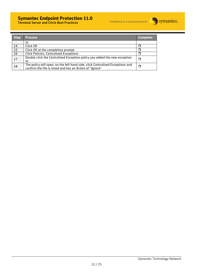### **Symantec Endpoint Protection 11.0**



Terminal Server and Citrix Best Practices

| <b>Step</b> | <b>Process</b>                                                                                                                            | <b>Complete</b> |
|-------------|-------------------------------------------------------------------------------------------------------------------------------------------|-----------------|
|             | to                                                                                                                                        |                 |
| 14          | Click OK                                                                                                                                  |                 |
| 15          | Click OK at the completion prompt                                                                                                         |                 |
| 16          | <b>Click Policies, Centralized Exceptions</b>                                                                                             |                 |
| 17          | Double click the Centralized Exception policy you added the new exception<br>to                                                           |                 |
| 18          | The policy will open, on the left hand side, click Centralized Exceptions and<br>confirm the file is listed and has an Action of "Ignore" |                 |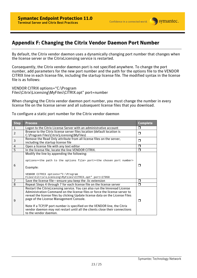

### **Appendix F: Changing the Citrix Vendor Daemon Port Number**

By default, the Citrix vendor daemon uses a dynamically changing port number that changes when the license server or the CitrixLicensing service is restarted.

Consequently, the Citrix vendor daemon port is not specified anywhere. To change the port number, add parameters for the new port number and the path for the options file to the VENDOR CITRIX line in each license file, including the startup license file. The modified syntax in the license file is as follows:

VENDOR CITRIX options="C:\Program Files\Citrix\Licensing\MyFiles\CITRIX.opt" port=number

When changing the Citrix vendor daemon port number, you must change the number in every license file on the license server and all subsequent license files that you download.

To configure a static port number for the Citrix vendor daemon

| <b>Step</b>    | <b>Process</b>                                                                                                                                                                                                                                                                                                                                                                                                                                                           |                |  |  |  |
|----------------|--------------------------------------------------------------------------------------------------------------------------------------------------------------------------------------------------------------------------------------------------------------------------------------------------------------------------------------------------------------------------------------------------------------------------------------------------------------------------|----------------|--|--|--|
| $\mathbf{1}$   | Logon to the Citrix License Server with an administrative account                                                                                                                                                                                                                                                                                                                                                                                                        |                |  |  |  |
| $\overline{2}$ | Browse to the Citrix license server files location (default location is<br>C:\Program Files\Citrix\Licensing\MyFiles)                                                                                                                                                                                                                                                                                                                                                    | $\Box$         |  |  |  |
| 3              | Remove the Read Only attribute from all license files on the server,<br>including the startup license file                                                                                                                                                                                                                                                                                                                                                               |                |  |  |  |
| $\overline{4}$ | Open a license file with any text editor                                                                                                                                                                                                                                                                                                                                                                                                                                 | $\Box$         |  |  |  |
| 5              | In the license file, locate the line VENDOR CITRIX.                                                                                                                                                                                                                                                                                                                                                                                                                      | $\Box$         |  |  |  |
| 6              | Modify the line by appending the following:<br>options= <the file="" options="" path="" the="" to=""> port=<the chosen="" number="" port=""><br/>Example:<br/>VENDOR CITRIX options="C:\Program<br/>Files\Citrix\Licensing\MyFiles\CITRIX.opt" port=27950</the></the>                                                                                                                                                                                                    | П              |  |  |  |
| $\overline{7}$ | Save the license file-ensure you keep the .lic extension                                                                                                                                                                                                                                                                                                                                                                                                                 | $\Box$         |  |  |  |
| 8              | Repeat Steps 4 through 7 for each license file on the license server                                                                                                                                                                                                                                                                                                                                                                                                     | $\mathsf{\Pi}$ |  |  |  |
| 9              | Restart the CitrixLicensing service. You can also run the Imreread License<br>Administration Command on the license files or force the license server to<br>reread the license files by clicking Update license data on the License Files<br>page of the License Management Console.<br>Note If a TCP/IP port number is specified on the VENDOR line, the Citrix<br>vendor daemon may not restart until all the clients close their connections<br>to the vendor daemon. | $\Box$         |  |  |  |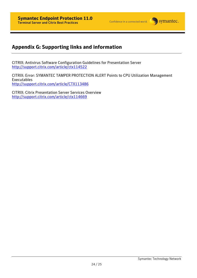# **Appendix G: Supporting links and information**

CITRIX: Antivirus Software Configuration Guidelines for Presentation Server http://support.citrix.com/article/ctx114522

CITRIX: Error: SYMANTEC TAMPER PROTECTION ALERT Points to CPU Utilization Management Executables http://support.citrix.com/article/CTX113486

CITRIX: Citrix Presentation Server Services Overview http://support.citrix.com/article/ctx114669